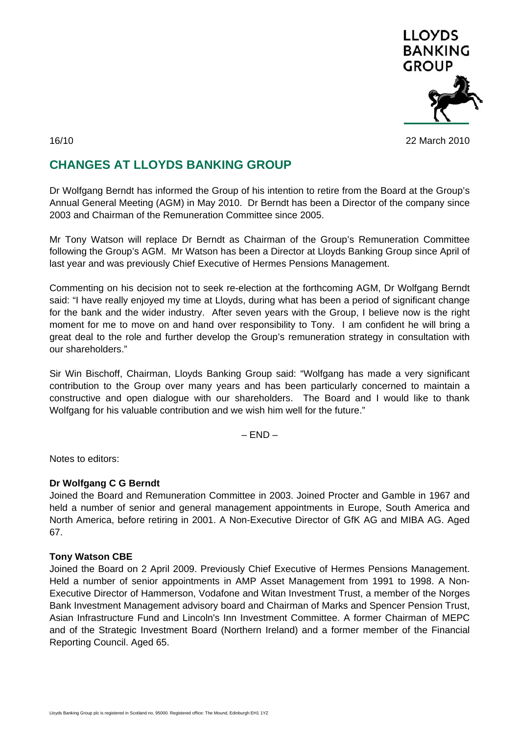

### 16/10 22 March 2010

# **CHANGES AT LLOYDS BANKING GROUP**

Dr Wolfgang Berndt has informed the Group of his intention to retire from the Board at the Group's Annual General Meeting (AGM) in May 2010. Dr Berndt has been a Director of the company since 2003 and Chairman of the Remuneration Committee since 2005.

Mr Tony Watson will replace Dr Berndt as Chairman of the Group's Remuneration Committee following the Group's AGM. Mr Watson has been a Director at Lloyds Banking Group since April of last year and was previously Chief Executive of Hermes Pensions Management.

Commenting on his decision not to seek re-election at the forthcoming AGM, Dr Wolfgang Berndt said: "I have really enjoyed my time at Lloyds, during what has been a period of significant change for the bank and the wider industry. After seven years with the Group, I believe now is the right moment for me to move on and hand over responsibility to Tony. I am confident he will bring a great deal to the role and further develop the Group's remuneration strategy in consultation with our shareholders."

Sir Win Bischoff, Chairman, Lloyds Banking Group said: "Wolfgang has made a very significant contribution to the Group over many years and has been particularly concerned to maintain a constructive and open dialogue with our shareholders. The Board and I would like to thank Wolfgang for his valuable contribution and we wish him well for the future."

 $-$  END  $-$ 

Notes to editors:

## **Dr Wolfgang C G Berndt**

Joined the Board and Remuneration Committee in 2003. Joined Procter and Gamble in 1967 and held a number of senior and general management appointments in Europe, South America and North America, before retiring in 2001. A Non-Executive Director of GfK AG and MIBA AG. Aged 67.

## **Tony Watson CBE**

Joined the Board on 2 April 2009. Previously Chief Executive of Hermes Pensions Management. Held a number of senior appointments in AMP Asset Management from 1991 to 1998. A Non-Executive Director of Hammerson, Vodafone and Witan Investment Trust, a member of the Norges Bank Investment Management advisory board and Chairman of Marks and Spencer Pension Trust, Asian Infrastructure Fund and Lincoln's Inn Investment Committee. A former Chairman of MEPC and of the Strategic Investment Board (Northern Ireland) and a former member of the Financial Reporting Council. Aged 65.